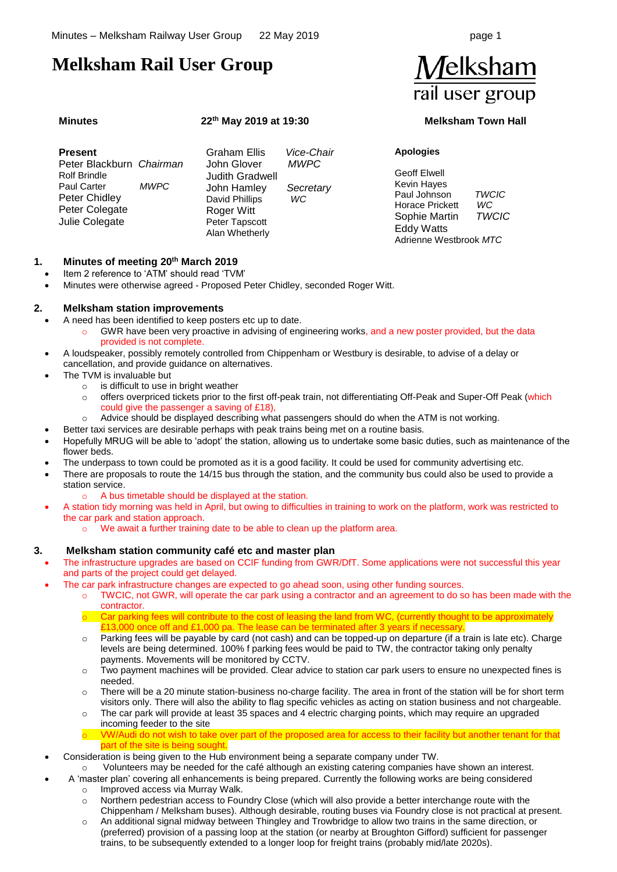# **Melksham Rail User Group**

# **Minutes 22**

# **th May 2019 at 19:30 Melksham Town Hall**

| <b>Present</b>                                                                                                             |             | Graham Ellis                                                                                                             | Vice-Chair                      | <b>Apologies</b>                                                                                                                             |                                    |
|----------------------------------------------------------------------------------------------------------------------------|-------------|--------------------------------------------------------------------------------------------------------------------------|---------------------------------|----------------------------------------------------------------------------------------------------------------------------------------------|------------------------------------|
| Peter Blackburn Chairman<br><b>Rolf Brindle</b><br><b>Paul Carter</b><br>Peter Chidley<br>Peter Colegate<br>Julie Colegate | <b>MWPC</b> | John Glover<br><b>Judith Gradwell</b><br>John Hamley<br>David Phillips<br>Roger Witt<br>Peter Tapscott<br>Alan Whetherly | <b>MWPC</b><br>Secretary<br>WC. | <b>Geoff Elwell</b><br>Kevin Hayes<br>Paul Johnson<br><b>Horace Prickett</b><br>Sophie Martin<br><b>Eddy Watts</b><br>Adrienne Westbrook MTC | <b>TWCIC</b><br>WC<br><b>TWCIC</b> |

# **1. Minutes of meeting 20th March 2019**

- Item 2 reference to 'ATM' should read 'TVM'
- Minutes were otherwise agreed Proposed Peter Chidley, seconded Roger Witt.

# **2. Melksham station improvements**

- A need has been identified to keep posters etc up to date.
	- GWR have been very proactive in advising of engineering works, and a new poster provided, but the data provided is not complete.
- A loudspeaker, possibly remotely controlled from Chippenham or Westbury is desirable, to advise of a delay or cancellation, and provide guidance on alternatives.
- The TVM is invaluable but
	- o is difficult to use in bright weather
	- o offers overpriced tickets prior to the first off-peak train, not differentiating Off-Peak and Super-Off Peak (which could give the passenger a saving of £18),
	- $\circ$  Advice should be displayed describing what passengers should do when the ATM is not working.
	- Better taxi services are desirable perhaps with peak trains being met on a routine basis.
- Hopefully MRUG will be able to 'adopt' the station, allowing us to undertake some basic duties, such as maintenance of the flower beds.
- The underpass to town could be promoted as it is a good facility. It could be used for community advertising etc.
- There are proposals to route the 14/15 bus through the station, and the community bus could also be used to provide a station service.
	- o A bus timetable should be displayed at the station.
- A station tidy morning was held in April, but owing to difficulties in training to work on the platform, work was restricted to the car park and station approach.
	- We await a further training date to be able to clean up the platform area.

# **3. Melksham station community café etc and master plan**

- The infrastructure upgrades are based on CCIF funding from GWR/DfT. Some applications were not successful this year and parts of the project could get delayed.
	- The car park infrastructure changes are expected to go ahead soon, using other funding sources.
		- o TWCIC, not GWR, will operate the car park using a contractor and an agreement to do so has been made with the contractor.
		- o Car parking fees will contribute to the cost of leasing the land from WC, (currently thought to be approximately £13,000 once off and £1,000 pa. The lease can be terminated after 3 years if necessary
		- Parking fees will be payable by card (not cash) and can be topped-up on departure (if a train is late etc). Charge levels are being determined. 100% f parking fees would be paid to TW, the contractor taking only penalty payments. Movements will be monitored by CCTV.
		- o Two payment machines will be provided. Clear advice to station car park users to ensure no unexpected fines is needed.
		- $\circ$  There will be a 20 minute station-business no-charge facility. The area in front of the station will be for short term visitors only. There will also the ability to flag specific vehicles as acting on station business and not chargeable.
		- o The car park will provide at least 35 spaces and 4 electric charging points, which may require an upgraded incoming feeder to the site
		- VW/Audi do not wish to take over part of the proposed area for access to their facility but another tenant for that part of the site is being sought.
	- Consideration is being given to the Hub environment being a separate company under TW.
		- o Volunteers may be needed for the café although an existing catering companies have shown an interest.
		- A 'master plan' covering all enhancements is being prepared. Currently the following works are being considered
		- Improved access via Murray Walk.
			- o Northern pedestrian access to Foundry Close (which will also provide a better interchange route with the Chippenham / Melksham buses). Although desirable, routing buses via Foundry close is not practical at present.
			- o An additional signal midway between Thingley and Trowbridge to allow two trains in the same direction, or (preferred) provision of a passing loop at the station (or nearby at Broughton Gifford) sufficient for passenger trains, to be subsequently extended to a longer loop for freight trains (probably mid/late 2020s).

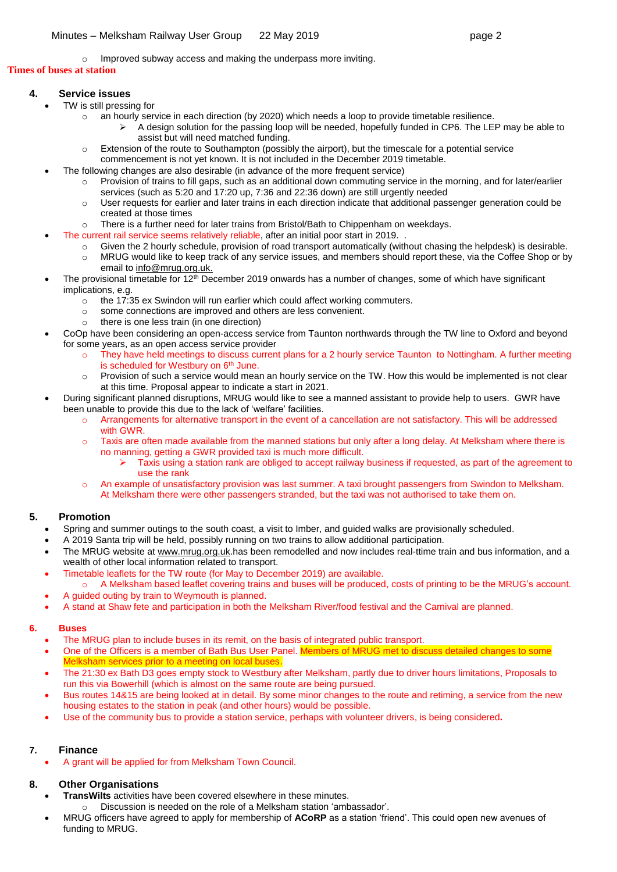o Improved subway access and making the underpass more inviting.

#### **Times of buses at station**

# **4. Service issues**

- TW is still pressing for
	- $\circ$  an hourly service in each direction (by 2020) which needs a loop to provide timetable resilience.
		- ➢ A design solution for the passing loop will be needed, hopefully funded in CP6. The LEP may be able to assist but will need matched funding.
	- o Extension of the route to Southampton (possibly the airport), but the timescale for a potential service
	- commencement is not yet known. It is not included in the December 2019 timetable.
- The following changes are also desirable (in advance of the more frequent service)
	- o Provision of trains to fill gaps, such as an additional down commuting service in the morning, and for later/earlier services (such as 5:20 and 17:20 up, 7:36 and 22:36 down) are still urgently needed
	- o User requests for earlier and later trains in each direction indicate that additional passenger generation could be created at those times
	- $\circ$  There is a further need for later trains from Bristol/Bath to Chippenham on weekdays.
	- The current rail service seems relatively reliable, after an initial poor start in 2019.
		- o Given the 2 hourly schedule, provision of road transport automatically (without chasing the helpdesk) is desirable.
		- o MRUG would like to keep track of any service issues, and members should report these, via the Coffee Shop or by email to [info@mrug.org.uk.](mailto:info@mrug.org.uk)
- The provisional timetable for 12<sup>th</sup> December 2019 onwards has a number of changes, some of which have significant implications, e.g.
	- o the 17:35 ex Swindon will run earlier which could affect working commuters.
	- o some connections are improved and others are less convenient.
	- o there is one less train (in one direction)
- CoOp have been considering an open-access service from Taunton northwards through the TW line to Oxford and beyond for some years, as an open access service provider
	- o They have held meetings to discuss current plans for a 2 hourly service Taunton to Nottingham. A further meeting is scheduled for Westbury on 6<sup>th</sup> June.
	- $\circ$  Provision of such a service would mean an hourly service on the TW. How this would be implemented is not clear at this time. Proposal appear to indicate a start in 2021.
- During significant planned disruptions, MRUG would like to see a manned assistant to provide help to users. GWR have been unable to provide this due to the lack of 'welfare' facilities.
	- o Arrangements for alternative transport in the event of a cancellation are not satisfactory. This will be addressed with GWR.
	- Taxis are often made available from the manned stations but only after a long delay. At Melksham where there is no manning, getting a GWR provided taxi is much more difficult.
		- ➢ Taxis using a station rank are obliged to accept railway business if requested, as part of the agreement to use the rank
	- o An example of unsatisfactory provision was last summer. A taxi brought passengers from Swindon to Melksham. At Melksham there were other passengers stranded, but the taxi was not authorised to take them on.

# **5. Promotion**

- Spring and summer outings to the south coast, a visit to Imber, and guided walks are provisionally scheduled.
- A 2019 Santa trip will be held, possibly running on two trains to allow additional participation.
- The MRUG website at [www.mrug.org.uk.](http://www.mrug.org.uk/)has been remodelled and now includes real-ttime train and bus information, and a wealth of other local information related to transport.
- Timetable leaflets for the TW route (for May to December 2019) are available.
	- o A Melksham based leaflet covering trains and buses will be produced, costs of printing to be the MRUG's account. • A guided outing by train to Weymouth is planned.
- A stand at Shaw fete and participation in both the Melksham River/food festival and the Carnival are planned.

# **6. Buses**

- The MRUG plan to include buses in its remit, on the basis of integrated public transport.
- One of the Officers is a member of Bath Bus User Panel. Members of MRUG met to discuss detailed changes to some Melksham services prior to a meeting on local buses
- The 21:30 ex Bath D3 goes empty stock to Westbury after Melksham, partly due to driver hours limitations, Proposals to run this via Bowerhill (which is almost on the same route are being pursued.
- Bus routes 14&15 are being looked at in detail. By some minor changes to the route and retiming, a service from the new housing estates to the station in peak (and other hours) would be possible.
- Use of the community bus to provide a station service, perhaps with volunteer drivers, is being considered**.**

# **7. Finance**

• A grant will be applied for from Melksham Town Council.

# **8. Other Organisations**

- **TransWilts** activities have been covered elsewhere in these minutes.
	- o Discussion is needed on the role of a Melksham station 'ambassador'.
- MRUG officers have agreed to apply for membership of **ACoRP** as a station 'friend'. This could open new avenues of funding to MRUG.